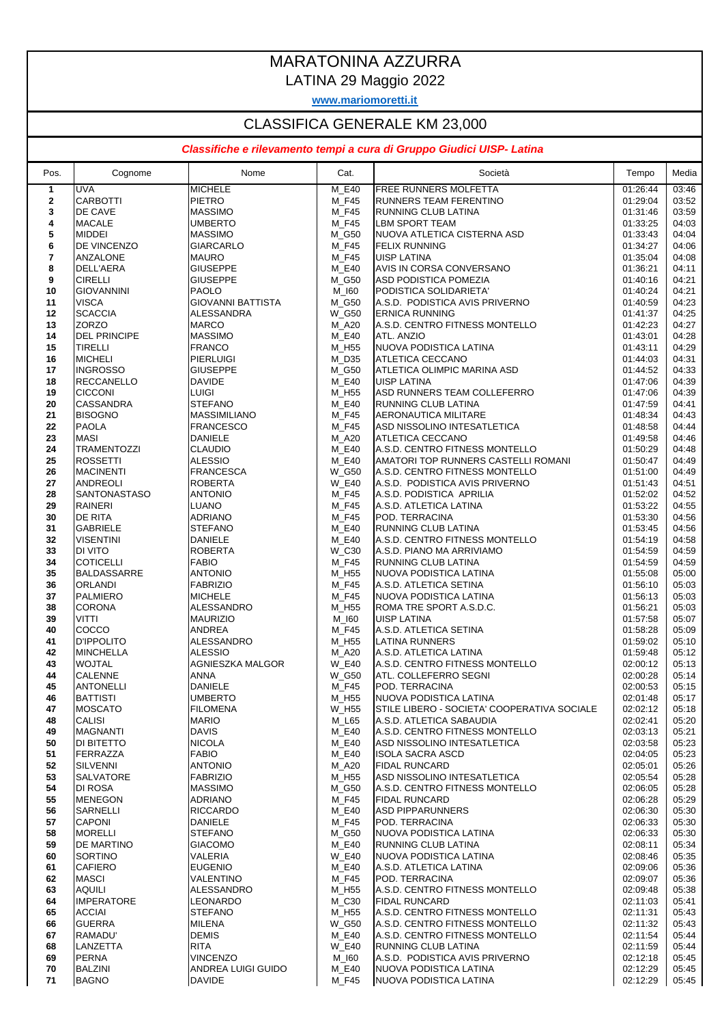## MARATONINA AZZURRA

LATINA 29 Maggio 2022

**www.mariomoretti.it**

## CLASSIFICA GENERALE KM 23,000

## *Classifiche e rilevamento tempi a cura di Gruppo Giudici UISP- Latina*

| Pos.           | Cognome                              | Nome                               | Cat.           | Società                                             | Tempo                | Media          |
|----------------|--------------------------------------|------------------------------------|----------------|-----------------------------------------------------|----------------------|----------------|
| $\overline{1}$ | UVA                                  | <b>MICHELE</b>                     | M E40          | <b>FREE RUNNERS MOLFETTA</b>                        | 01:26:44             | 03:46          |
| $\mathbf{2}$   | <b>CARBOTTI</b>                      | <b>PIETRO</b>                      | M_F45          | <b>RUNNERS TEAM FERENTINO</b>                       | 01:29:04             | 03:52          |
| 3              | DE CAVE                              | <b>MASSIMO</b>                     | M F45          | <b>RUNNING CLUB LATINA</b>                          | 01:31:46             | 03:59          |
| 4              | <b>MACALE</b>                        | <b>UMBERTO</b>                     | M F45          | <b>LBM SPORT TEAM</b>                               | 01:33:25             | 04:03          |
| 5<br>6         | <b>MIDDEI</b><br><b>DE VINCENZO</b>  | <b>MASSIMO</b><br><b>GIARCARLO</b> | M_G50<br>M_F45 | NUOVA ATLETICA CISTERNA ASD<br><b>FELIX RUNNING</b> | 01:33:43<br>01:34:27 | 04:04<br>04:06 |
| 7              | <b>ANZALONE</b>                      | <b>MAURO</b>                       | M_F45          | <b>UISP LATINA</b>                                  | 01:35:04             | 04:08          |
| 8              | DELL'AERA                            | <b>GIUSEPPE</b>                    | M_E40          | AVIS IN CORSA CONVERSANO                            | 01:36:21             | 04:11          |
| 9              | <b>CIRELLI</b>                       | <b>GIUSEPPE</b>                    | M_G50          | <b>ASD PODISTICA POMEZIA</b>                        | 01:40:16             | 04:21          |
| 10             | <b>GIOVANNINI</b>                    | <b>PAOLO</b>                       | M_I60          | PODISTICA SOLIDARIETA'                              | 01:40:24             | 04:21          |
| 11             | <b>VISCA</b>                         | <b>GIOVANNI BATTISTA</b>           | M_G50          | A.S.D. PODISTICA AVIS PRIVERNO                      | 01:40:59             | 04:23          |
| 12             | <b>SCACCIA</b>                       | <b>ALESSANDRA</b>                  | W_G50          | <b>ERNICA RUNNING</b>                               | 01:41:37             | 04:25          |
| 13             | <b>ZORZO</b>                         | <b>MARCO</b>                       | M A20          | A.S.D. CENTRO FITNESS MONTELLO                      | 01:42:23             | 04:27          |
| 14             | <b>DEL PRINCIPE</b>                  | <b>MASSIMO</b>                     | M E40          | ATL. ANZIO                                          | 01:43:01             | 04:28          |
| 15             | <b>TIRELLI</b>                       | <b>FRANCO</b>                      | M_H55          | NUOVA PODISTICA LATINA                              | 01:43:11             | 04:29          |
| 16             | <b>MICHELI</b>                       | <b>PIERLUIGI</b>                   | M_D35          | <b>ATLETICA CECCANO</b>                             | 01:44:03             | 04:31          |
| 17<br>18       | <b>INGROSSO</b>                      | <b>GIUSEPPE</b><br><b>DAVIDE</b>   | M_G50<br>M_E40 | ATLETICA OLIMPIC MARINA ASD                         | 01:44:52<br>01:47:06 | 04:33<br>04:39 |
| 19             | RECCANELLO<br><b>CICCONI</b>         | <b>LUIGI</b>                       | M H55          | UISP LATINA<br>ASD RUNNERS TEAM COLLEFERRO          | 01:47:06             | 04:39          |
| 20             | <b>CASSANDRA</b>                     | <b>STEFANO</b>                     | M_E40          | <b>RUNNING CLUB LATINA</b>                          | 01:47:59             | 04:41          |
| 21             | <b>BISOGNO</b>                       | <b>MASSIMILIANO</b>                | M_F45          | AERONAUTICA MILITARE                                | 01:48:34             | 04:43          |
| 22             | <b>PAOLA</b>                         | <b>FRANCESCO</b>                   | M_F45          | ASD NISSOLINO INTESATLETICA                         | 01:48:58             | 04:44          |
| 23             | <b>MASI</b>                          | <b>DANIELE</b>                     | M A20          | <b>ATLETICA CECCANO</b>                             | 01:49:58             | 04:46          |
| 24             | <b>TRAMENTOZZI</b>                   | <b>CLAUDIO</b>                     | M_E40          | A.S.D. CENTRO FITNESS MONTELLO                      | 01:50:29             | 04:48          |
| 25             | <b>ROSSETTI</b>                      | <b>ALESSIO</b>                     | M E40          | AMATORI TOP RUNNERS CASTELLI ROMANI                 | 01:50:47             | 04:49          |
| 26             | <b>MACINENTI</b>                     | <b>FRANCESCA</b>                   | <b>W_G50</b>   | A.S.D. CENTRO FITNESS MONTELLO                      | 01:51:00             | 04:49          |
| 27             | ANDREOLI                             | <b>ROBERTA</b>                     | <b>W_E40</b>   | A.S.D. PODISTICA AVIS PRIVERNO                      | 01:51:43             | 04:51          |
| 28             | <b>SANTONASTASO</b>                  | <b>ANTONIO</b>                     | M F45          | A.S.D. PODISTICA APRILIA                            | 01:52:02             | 04:52          |
| 29<br>30       | <b>RAINERI</b><br><b>DE RITA</b>     | <b>LUANO</b><br><b>ADRIANO</b>     | M_F45<br>M_F45 | A.S.D. ATLETICA LATINA<br>POD. TERRACINA            | 01:53:22<br>01:53:30 | 04:55<br>04:56 |
| 31             | <b>GABRIELE</b>                      | <b>STEFANO</b>                     | M_E40          | <b>RUNNING CLUB LATINA</b>                          | 01:53:45             | 04:56          |
| 32             | <b>VISENTINI</b>                     | <b>DANIELE</b>                     | M_E40          | A.S.D. CENTRO FITNESS MONTELLO                      | 01:54:19             | 04:58          |
| 33             | <b>DI VITO</b>                       | <b>ROBERTA</b>                     | W_C30          | A.S.D. PIANO MA ARRIVIAMO                           | 01:54:59             | 04:59          |
| 34             | <b>COTICELLI</b>                     | <b>FABIO</b>                       | M F45          | <b>RUNNING CLUB LATINA</b>                          | 01:54:59             | 04:59          |
| 35             | <b>BALDASSARRE</b>                   | <b>ANTONIO</b>                     | M_H55          | NUOVA PODISTICA LATINA                              | 01:55:08             | 05:00          |
| 36             | <b>ORLANDI</b>                       | <b>FABRIZIO</b>                    | M_F45          | A.S.D. ATLETICA SETINA                              | 01:56:10             | 05:03          |
| 37             | PALMIERO                             | <b>MICHELE</b>                     | M_F45          | NUOVA PODISTICA LATINA                              | 01:56:13             | 05:03          |
| 38             | <b>CORONA</b>                        | ALESSANDRO                         | M_H55          | ROMA TRE SPORT A.S.D.C.                             | 01:56:21             | 05:03          |
| 39<br>40       | <b>VITTI</b><br>COCCO                | <b>MAURIZIO</b><br><b>ANDREA</b>   | M_I60<br>M_F45 | <b>UISP LATINA</b><br>A.S.D. ATLETICA SETINA        | 01:57:58<br>01:58:28 | 05:07<br>05:09 |
| 41             | <b>D'IPPOLITO</b>                    | ALESSANDRO                         | M_H55          | LATINA RUNNERS                                      | 01:59:02             | 05:10          |
| 42             | <b>MINCHELLA</b>                     | <b>ALESSIO</b>                     | M_A20          | A.S.D. ATLETICA LATINA                              | 01:59:48             | 05:12          |
| 43             | <b>WOJTAL</b>                        | AGNIESZKA MALGOR                   | <b>W E40</b>   | A.S.D. CENTRO FITNESS MONTELLO                      | 02:00:12             | 05:13          |
| 44             | <b>CALENNE</b>                       | <b>ANNA</b>                        | W_G50          | ATL. COLLEFERRO SEGNI                               | 02:00:28             | 05:14          |
| 45             | <b>ANTONELLI</b>                     | <b>DANIELE</b>                     | M_F45          | POD. TERRACINA                                      | 02:00:53             | 05:15          |
| 46             | BATTISTI                             | <b>UMBERTO</b>                     | M_H55          | <b>INUOVA PODISTICA LATINA</b>                      | 02:01:48             | 05:17          |
| 47             | <b>MOSCATO</b>                       | <b>FILOMENA</b>                    | W_H55          | STILE LIBERO - SOCIETA' COOPERATIVA SOCIALE         | 02:02:12             | 05:18          |
| 48             | <b>CALISI</b>                        | <b>MARIO</b>                       | M L65          | A.S.D. ATLETICA SABAUDIA                            | 02:02:41             | 05:20          |
| 49             | <b>MAGNANTI</b><br><b>DI BITETTO</b> | <b>DAVIS</b>                       | M_E40          | A.S.D. CENTRO FITNESS MONTELLO                      | 02:03:13             | 05:21          |
| 50<br>51       | FERRAZZA                             | <b>NICOLA</b><br><b>FABIO</b>      | M_E40<br>M_E40 | ASD NISSOLINO INTESATLETICA<br>IISOLA SACRA ASCD    | 02:03:58<br>02:04:05 | 05:23<br>05:23 |
| 52             | SILVENNI                             | <b>ANTONIO</b>                     | M_A20          | <b>FIDAL RUNCARD</b>                                | 02:05:01             | 05:26          |
| 53             | <b>SALVATORE</b>                     | <b>FABRIZIO</b>                    | M_H55          | ASD NISSOLINO INTESATLETICA                         | 02:05:54             | 05:28          |
| 54             | <b>DI ROSA</b>                       | <b>MASSIMO</b>                     | M_G50          | IA.S.D. CENTRO FITNESS MONTELLO                     | 02:06:05             | 05:28          |
| 55             | <b>MENEGON</b>                       | <b>ADRIANO</b>                     | M_F45          | <b>FIDAL RUNCARD</b>                                | 02:06:28             | 05:29          |
| 56             | <b>SARNELLI</b>                      | <b>RICCARDO</b>                    | M E40          | <b>ASD PIPPARUNNERS</b>                             | 02:06:30             | 05:30          |
| 57             | <b>CAPONI</b>                        | DANIELE                            | M_F45          | POD. TERRACINA                                      | 02:06:33             | 05:30          |
| 58             | <b>MORELLI</b>                       | <b>STEFANO</b>                     | M_G50          | NUOVA PODISTICA LATINA                              | 02:06:33             | 05:30          |
| 59             | <b>DE MARTINO</b>                    | <b>GIACOMO</b>                     | M_E40          | RUNNING CLUB LATINA                                 | 02:08:11             | 05:34          |
| 60             | SORTINO                              | VALERIA                            | <b>W_E40</b>   | NUOVA PODISTICA LATINA                              | 02:08:46             | 05:35          |
| 61             | <b>CAFIERO</b>                       | <b>EUGENIO</b>                     | M_E40          | A.S.D. ATLETICA LATINA                              | 02:09:06             | 05:36          |
| 62<br>63       | <b>MASCI</b><br><b>AQUILI</b>        | VALENTINO<br>ALESSANDRO            | M_F45<br>M H55 | POD. TERRACINA<br>A.S.D. CENTRO FITNESS MONTELLO    | 02:09:07<br>02:09:48 | 05:36<br>05:38 |
| 64             | <b>IMPERATORE</b>                    | LEONARDO                           | $M_C30$        | <b>FIDAL RUNCARD</b>                                | 02:11:03             | 05:41          |
| 65             | <b>ACCIAI</b>                        | <b>STEFANO</b>                     | M_H55          | A.S.D. CENTRO FITNESS MONTELLO                      | 02:11:31             | 05:43          |
| 66             | <b>GUERRA</b>                        | MILENA                             | <b>W_G50</b>   | A.S.D. CENTRO FITNESS MONTELLO                      | 02:11:32             | 05:43          |
| 67             | RAMADU'                              | <b>DEMIS</b>                       | M_E40          | A.S.D. CENTRO FITNESS MONTELLO                      | 02:11:54             | 05:44          |
| 68             | LANZETTA                             | RITA                               | <b>W_E40</b>   | <b>RUNNING CLUB LATINA</b>                          | 02:11:59             | 05:44          |
| 69             | <b>PERNA</b>                         | <b>VINCENZO</b>                    | M_I60          | A.S.D. PODISTICA AVIS PRIVERNO                      | 02:12:18             | 05:45          |
| 70             | <b>BALZINI</b>                       | ANDREA LUIGI GUIDO                 | M_E40          | NUOVA PODISTICA LATINA                              | 02:12:29             | 05:45          |
| 71             | <b>BAGNO</b>                         | <b>DAVIDE</b>                      | M_F45          | NUOVA PODISTICA LATINA                              | 02:12:29             | 05:45          |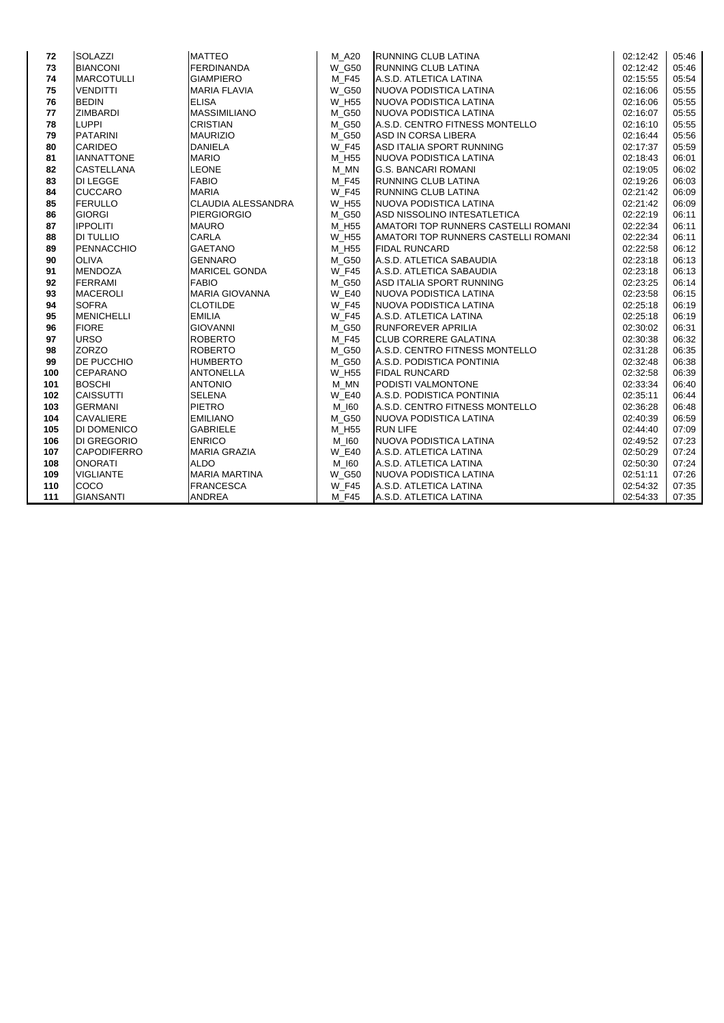| 72  | <b>SOLAZZI</b>     | <b>MATTEO</b>             | M A20        | <b>RUNNING CLUB LATINA</b>          | 02:12:42 | 05:46 |
|-----|--------------------|---------------------------|--------------|-------------------------------------|----------|-------|
| 73  | <b>BIANCONI</b>    | <b>FERDINANDA</b>         | <b>W G50</b> | <b>RUNNING CLUB LATINA</b>          | 02:12:42 | 05:46 |
| 74  | <b>MARCOTULLI</b>  | <b>GIAMPIERO</b>          | M F45        | A.S.D. ATLETICA LATINA              | 02:15:55 | 05:54 |
| 75  | <b>VENDITTI</b>    | <b>MARIA FLAVIA</b>       | <b>W G50</b> | NUOVA PODISTICA LATINA              | 02:16:06 | 05:55 |
| 76  | <b>BEDIN</b>       | <b>ELISA</b>              | W H55        | <b>INUOVA PODISTICA LATINA</b>      | 02:16:06 | 05:55 |
| 77  | <b>ZIMBARDI</b>    | <b>MASSIMILIANO</b>       | M G50        | NUOVA PODISTICA LATINA              | 02:16:07 | 05:55 |
| 78  | <b>LUPPI</b>       | <b>CRISTIAN</b>           | M G50        | A.S.D. CENTRO FITNESS MONTELLO      | 02:16:10 | 05:55 |
| 79  | <b>PATARINI</b>    | <b>MAURIZIO</b>           | M G50        | ASD IN CORSA LIBERA                 | 02:16:44 | 05:56 |
| 80  | <b>CARIDEO</b>     | <b>DANIELA</b>            | <b>W F45</b> | ASD ITALIA SPORT RUNNING            | 02:17:37 | 05:59 |
| 81  | <b>IANNATTONE</b>  | <b>MARIO</b>              | M H55        | NUOVA PODISTICA LATINA              | 02:18:43 | 06:01 |
| 82  | <b>CASTELLANA</b>  | <b>LEONE</b>              | M MN         | <b>G.S. BANCARI ROMANI</b>          | 02:19:05 | 06:02 |
| 83  | <b>DI LEGGE</b>    | <b>FABIO</b>              | M F45        | RUNNING CLUB LATINA                 | 02:19:26 | 06:03 |
| 84  | <b>CUCCARO</b>     | <b>MARIA</b>              | <b>W F45</b> | RUNNING CLUB LATINA                 | 02:21:42 | 06:09 |
| 85  | <b>FERULLO</b>     | <b>CLAUDIA ALESSANDRA</b> | <b>W H55</b> | NUOVA PODISTICA LATINA              | 02:21:42 | 06:09 |
| 86  | <b>GIORGI</b>      | <b>PIERGIORGIO</b>        | M G50        | ASD NISSOLINO INTESATLETICA         | 02:22:19 | 06:11 |
| 87  | <b>IPPOLITI</b>    | <b>MAURO</b>              | M_H55        | AMATORI TOP RUNNERS CASTELLI ROMANI | 02:22:34 | 06:11 |
| 88  | <b>DI TULLIO</b>   | <b>CARLA</b>              | <b>W H55</b> | AMATORI TOP RUNNERS CASTELLI ROMANI | 02:22:34 | 06:11 |
| 89  | PENNACCHIO         | <b>GAETANO</b>            | M H55        | <b>FIDAL RUNCARD</b>                | 02:22:58 | 06:12 |
| 90  | <b>OLIVA</b>       | <b>GENNARO</b>            | M G50        | A.S.D. ATLETICA SABAUDIA            | 02:23:18 | 06:13 |
| 91  | <b>MENDOZA</b>     | <b>MARICEL GONDA</b>      | <b>W F45</b> | A.S.D. ATLETICA SABAUDIA            | 02:23:18 | 06:13 |
| 92  | <b>FERRAMI</b>     | <b>FABIO</b>              | M G50        | ASD ITALIA SPORT RUNNING            | 02:23:25 | 06:14 |
| 93  | <b>MACEROLI</b>    | <b>MARIA GIOVANNA</b>     | <b>W E40</b> | NUOVA PODISTICA LATINA              | 02:23:58 | 06:15 |
| 94  | <b>SOFRA</b>       | <b>CLOTILDE</b>           | $W_F45$      | NUOVA PODISTICA LATINA              | 02:25:18 | 06:19 |
| 95  | <b>MENICHELLI</b>  | <b>EMILIA</b>             | <b>W F45</b> | A.S.D. ATLETICA LATINA              | 02:25:18 | 06:19 |
| 96  | <b>FIORE</b>       | <b>GIOVANNI</b>           | M_G50        | <b>RUNFOREVER APRILIA</b>           | 02:30:02 | 06:31 |
| 97  | <b>URSO</b>        | ROBERTO                   | M F45        | <b>CLUB CORRERE GALATINA</b>        | 02:30:38 | 06:32 |
| 98  | <b>ZORZO</b>       | <b>ROBERTO</b>            | M G50        | A.S.D. CENTRO FITNESS MONTELLO      | 02:31:28 | 06:35 |
| 99  | <b>DE PUCCHIO</b>  | <b>HUMBERTO</b>           | M G50        | A.S.D. PODISTICA PONTINIA           | 02:32:48 | 06:38 |
| 100 | <b>CEPARANO</b>    | <b>ANTONELLA</b>          | W H55        | <b>FIDAL RUNCARD</b>                | 02:32:58 | 06:39 |
| 101 | <b>BOSCHI</b>      | <b>ANTONIO</b>            | M MN         | <b>PODISTI VALMONTONE</b>           | 02:33:34 | 06:40 |
| 102 | <b>CAISSUTTI</b>   | <b>SELENA</b>             | <b>W E40</b> | A.S.D. PODISTICA PONTINIA           | 02:35:11 | 06:44 |
| 103 | <b>GERMANI</b>     | <b>PIETRO</b>             | M 160        | A.S.D. CENTRO FITNESS MONTELLO      | 02:36:28 | 06:48 |
| 104 | <b>CAVALIERE</b>   | <b>EMILIANO</b>           | M G50        | NUOVA PODISTICA LATINA              | 02:40:39 | 06:59 |
| 105 | DI DOMENICO        | <b>GABRIELE</b>           | M H55        | <b>RUN LIFE</b>                     | 02:44:40 | 07:09 |
| 106 | <b>DI GREGORIO</b> | <b>ENRICO</b>             | M 160        | NUOVA PODISTICA LATINA              | 02:49:52 | 07:23 |
| 107 | <b>CAPODIFERRO</b> | <b>MARIA GRAZIA</b>       | <b>W E40</b> | A.S.D. ATLETICA LATINA              | 02:50:29 | 07:24 |
| 108 | <b>ONORATI</b>     | <b>ALDO</b>               | M 160        | A.S.D. ATLETICA LATINA              | 02:50:30 | 07:24 |
| 109 | <b>VIGLIANTE</b>   | <b>MARIA MARTINA</b>      | <b>W G50</b> | NUOVA PODISTICA LATINA              | 02:51:11 | 07:26 |
| 110 | COCO               | <b>FRANCESCA</b>          | W_F45        | A.S.D. ATLETICA LATINA              | 02:54:32 | 07:35 |
| 111 | <b>GIANSANTI</b>   | <b>ANDREA</b>             | M F45        | A.S.D. ATLETICA LATINA              | 02:54:33 | 07:35 |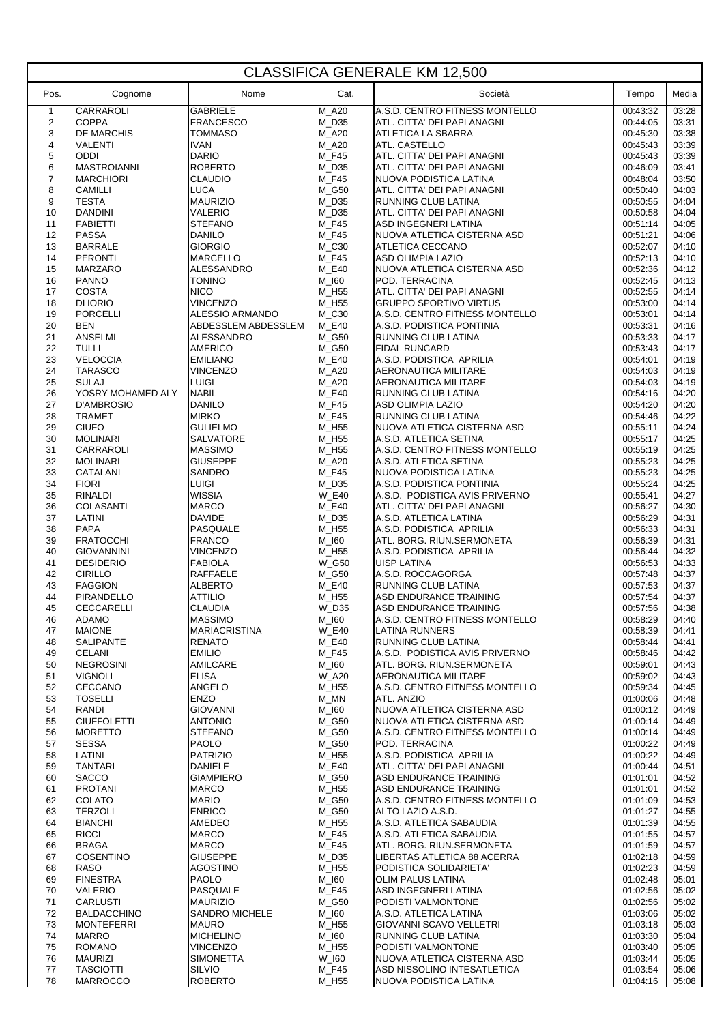| <b>CLASSIFICA GENERALE KM 12,500</b> |                                       |                                          |                  |                                                              |                      |                |  |
|--------------------------------------|---------------------------------------|------------------------------------------|------------------|--------------------------------------------------------------|----------------------|----------------|--|
| Pos.                                 | Cognome                               | Nome                                     | Cat.             | Società                                                      | Tempo                | Media          |  |
| $\mathbf{1}$                         | <b>CARRAROLI</b>                      | <b>GABRIELE</b>                          | $M_A20$          | A.S.D. CENTRO FITNESS MONTELLO                               | 00:43:32             | 03:28          |  |
| $\overline{2}$<br>3                  | <b>COPPA</b><br><b>DE MARCHIS</b>     | <b>FRANCESCO</b><br><b>TOMMASO</b>       | M_D35<br>M_A20   | ATL. CITTA' DEI PAPI ANAGNI<br><b>ATLETICA LA SBARRA</b>     | 00:44:05<br>00:45:30 | 03:31<br>03:38 |  |
| $\overline{4}$                       | <b>VALENTI</b>                        | <b>IVAN</b>                              | M_A20            | <b>ATL. CASTELLO</b>                                         | 00:45:43             | 03:39          |  |
| 5                                    | <b>ODDI</b>                           | <b>DARIO</b>                             | $M_F45$          | ATL. CITTA' DEI PAPI ANAGNI                                  | 00:45:43             | 03:39          |  |
| 6                                    | <b>MASTROIANNI</b>                    | <b>ROBERTO</b>                           | $M_D35$          | ATL. CITTA' DEI PAPI ANAGNI                                  | 00:46:09             | 03:41          |  |
| $\overline{7}$                       | <b>MARCHIORI</b>                      | <b>CLAUDIO</b>                           | $M_F45$          | NUOVA PODISTICA LATINA                                       | 00:48:04             | 03:50          |  |
| 8                                    | <b>CAMILLI</b>                        | <b>LUCA</b>                              | M_G50            | ATL. CITTA' DEI PAPI ANAGNI                                  | 00:50:40             | 04:03          |  |
| 9                                    | <b>TESTA</b>                          | <b>MAURIZIO</b>                          | $M_D35$          | RUNNING CLUB LATINA                                          | 00:50:55             | 04:04          |  |
| 10<br>11                             | <b>DANDINI</b><br><b>FABIETTI</b>     | VALERIO<br><b>STEFANO</b>                | M_D35<br>$M_F45$ | ATL. CITTA' DEI PAPI ANAGNI<br>ASD INGEGNERI LATINA          | 00:50:58<br>00:51:14 | 04:04<br>04:05 |  |
| 12                                   | <b>PASSA</b>                          | <b>DANILO</b>                            | $M_F45$          | NUOVA ATLETICA CISTERNA ASD                                  | 00:51:21             | 04:06          |  |
| 13                                   | <b>BARRALE</b>                        | <b>GIORGIO</b>                           | M_C30            | <b>ATLETICA CECCANO</b>                                      | 00:52:07             | 04:10          |  |
| 14                                   | <b>PERONTI</b>                        | <b>MARCELLO</b>                          | $M_F45$          | ASD OLIMPIA LAZIO                                            | 00:52:13             | 04:10          |  |
| 15                                   | <b>MARZARO</b>                        | ALESSANDRO                               | $M_E40$          | NUOVA ATLETICA CISTERNA ASD                                  | 00:52:36             | 04:12          |  |
| 16                                   | <b>PANNO</b>                          | <b>TONINO</b>                            | $M_l$ 160        | <b>POD. TERRACINA</b>                                        | 00:52:45             | 04:13          |  |
| 17<br>18                             | <b>COSTA</b><br>DI IORIO              | <b>NICO</b><br><b>VINCENZO</b>           | M_H55<br>$M_H55$ | ATL. CITTA' DEI PAPI ANAGNI<br><b>GRUPPO SPORTIVO VIRTUS</b> | 00:52:55<br>00:53:00 | 04:14<br>04:14 |  |
| 19                                   | <b>PORCELLI</b>                       | ALESSIO ARMANDO                          | M_C30            | A.S.D. CENTRO FITNESS MONTELLO                               | 00:53:01             | 04:14          |  |
| 20                                   | <b>BEN</b>                            | ABDESSLEM ABDESSLEM                      | $M_E40$          | A.S.D. PODISTICA PONTINIA                                    | 00:53:31             | 04:16          |  |
| 21                                   | ANSELMI                               | ALESSANDRO                               | M_G50            | <b>RUNNING CLUB LATINA</b>                                   | 00:53:33             | 04:17          |  |
| 22                                   | <b>TULLI</b>                          | <b>AMERICO</b>                           | M G50            | <b>FIDAL RUNCARD</b>                                         | 00:53:43             | 04:17          |  |
| 23                                   | <b>VELOCCIA</b>                       | <b>EMILIANO</b>                          | $M_E40$          | A.S.D. PODISTICA APRILIA                                     | 00:54:01             | 04:19          |  |
| 24<br>25                             | <b>TARASCO</b><br><b>SULAJ</b>        | <b>VINCENZO</b><br><b>LUIGI</b>          | M_A20<br>M_A20   | AERONAUTICA MILITARE<br>AERONAUTICA MILITARE                 | 00:54:03<br>00:54:03 | 04:19<br>04:19 |  |
| 26                                   | YOSRY MOHAMED ALY                     | <b>NABIL</b>                             | $M_E40$          | <b>RUNNING CLUB LATINA</b>                                   | 00:54:16             | 04:20          |  |
| 27                                   | D'AMBROSIO                            | <b>DANILO</b>                            | $M_F45$          | <b>ASD OLIMPIA LAZIO</b>                                     | 00:54:20             | 04:20          |  |
| 28                                   | <b>TRAMET</b>                         | <b>MIRKO</b>                             | $M_F45$          | RUNNING CLUB LATINA                                          | 00:54:46             | 04:22          |  |
| 29                                   | <b>CIUFO</b>                          | <b>GULIELMO</b>                          | M_H55            | NUOVA ATLETICA CISTERNA ASD                                  | 00:55:11             | 04:24          |  |
| 30                                   | <b>MOLINARI</b>                       | <b>SALVATORE</b>                         | M_H55            | A.S.D. ATLETICA SETINA                                       | 00:55:17             | 04:25          |  |
| 31<br>32                             | CARRAROLI<br><b>MOLINARI</b>          | <b>MASSIMO</b><br><b>GIUSEPPE</b>        | M_H55<br>M_A20   | A.S.D. CENTRO FITNESS MONTELLO<br>A.S.D. ATLETICA SETINA     | 00:55:19<br>00:55:23 | 04:25<br>04:25 |  |
| 33                                   | <b>CATALANI</b>                       | <b>SANDRO</b>                            | M_F45            | NUOVA PODISTICA LATINA                                       | 00:55:23             | 04:25          |  |
| 34                                   | <b>FIORI</b>                          | <b>LUIGI</b>                             | $M_D35$          | A.S.D. PODISTICA PONTINIA                                    | 00:55:24             | 04:25          |  |
| 35                                   | <b>RINALDI</b>                        | <b>WISSIA</b>                            | <b>W_E40</b>     | A.S.D. PODISTICA AVIS PRIVERNO                               | 00:55:41             | 04:27          |  |
| 36                                   | <b>COLASANTI</b>                      | <b>MARCO</b>                             | $M_E40$          | ATL. CITTA' DEI PAPI ANAGNI                                  | 00:56:27             | 04:30          |  |
| 37                                   | LATINI                                | <b>DAVIDE</b>                            | M_D35            | A.S.D. ATLETICA LATINA                                       | 00:56:29             | 04:31          |  |
| 38<br>39                             | <b>PAPA</b><br><b>FRATOCCHI</b>       | PASQUALE<br><b>FRANCO</b>                | M_H55<br>M_I60   | A.S.D. PODISTICA APRILIA<br>ATL. BORG. RIUN.SERMONETA        | 00:56:33<br>00:56:39 | 04:31<br>04:31 |  |
| 40                                   | <b>GIOVANNINI</b>                     | <b>VINCENZO</b>                          | M H55            | A.S.D. PODISTICA APRILIA                                     | 00:56:44             | 04:32          |  |
| 41                                   | <b>DESIDERIO</b>                      | <b>FABIOLA</b>                           | <b>W_G50</b>     | <b>UISP LATINA</b>                                           | 00:56:53             | 04:33          |  |
| 42                                   | <b>CIRILLO</b>                        | <b>RAFFAELE</b>                          | M G50            | A.S.D. ROCCAGORGA                                            | 00:57:48             | 04:37          |  |
| 43                                   | <b>FAGGION</b>                        | <b>ALBERTO</b>                           | $M_E40$          | <b>RUNNING CLUB LATINA</b>                                   | 00:57:53             | 04:37          |  |
| 44                                   | <b>PIRANDELLO</b>                     | <b>ATTILIO</b><br><b>CLAUDIA</b>         | M_H55            | <b>ASD ENDURANCE TRAINING</b><br>ASD ENDURANCE TRAINING      | 00:57:54             | 04:37          |  |
| 45<br>46                             | CECCARELLI<br><b>ADAMO</b>            | <b>MASSIMO</b>                           | $W_D35$<br>M_I60 | A.S.D. CENTRO FITNESS MONTELLO                               | 00:57:56<br>00:58:29 | 04:38<br>04:40 |  |
| 47                                   | <b>MAIONE</b>                         | <b>MARIACRISTINA</b>                     | $W_E40$          | LATINA RUNNERS                                               | 00:58:39             | 04:41          |  |
| 48                                   | <b>SALIPANTE</b>                      | <b>RENATO</b>                            | $M_E40$          | RUNNING CLUB LATINA                                          | 00:58:44             | 04:41          |  |
| 49                                   | <b>CELANI</b>                         | <b>EMILIO</b>                            | M_F45            | A.S.D. PODISTICA AVIS PRIVERNO                               | 00:58:46             | 04:42          |  |
| 50                                   | <b>NEGROSINI</b>                      | AMILCARE                                 | M 160            | ATL. BORG. RIUN.SERMONETA                                    | 00:59:01             | 04:43          |  |
| 51                                   | <b>VIGNOLI</b>                        | <b>ELISA</b>                             | <b>W_A20</b>     | AERONAUTICA MILITARE                                         | 00:59:02             | 04:43          |  |
| 52<br>53                             | <b>CECCANO</b><br><b>TOSELLI</b>      | ANGELO<br><b>ENZO</b>                    | M_H55<br>M_MN    | A.S.D. CENTRO FITNESS MONTELLO<br>ATL. ANZIO                 | 00:59:34<br>01:00:06 | 04:45<br>04:48 |  |
| 54                                   | RANDI                                 | <b>GIOVANNI</b>                          | M_I60            | NUOVA ATLETICA CISTERNA ASD                                  | 01:00:12             | 04:49          |  |
| 55                                   | <b>CIUFFOLETTI</b>                    | <b>ANTONIO</b>                           | M G50            | INUOVA ATLETICA CISTERNA ASD                                 | 01:00:14             | 04:49          |  |
| 56                                   | <b>MORETTO</b>                        | <b>STEFANO</b>                           | $M_G50$          | A.S.D. CENTRO FITNESS MONTELLO                               | 01:00:14             | 04:49          |  |
| 57                                   | <b>SESSA</b>                          | <b>PAOLO</b>                             | M_G50            | <b>POD. TERRACINA</b>                                        | 01:00:22             | 04:49          |  |
| 58<br>59                             | LATINI<br><b>TANTARI</b>              | <b>PATRIZIO</b><br><b>DANIELE</b>        | M_H55<br>$M_E40$ | A.S.D. PODISTICA APRILIA<br>ATL. CITTA' DEI PAPI ANAGNI      | 01:00:22<br>01:00:44 | 04:49<br>04:51 |  |
| 60                                   | <b>SACCO</b>                          | <b>GIAMPIERO</b>                         | M G50            | ASD ENDURANCE TRAINING                                       | 01:01:01             | 04:52          |  |
| 61                                   | <b>PROTANI</b>                        | <b>MARCO</b>                             | M H55            | <b>ASD ENDURANCE TRAINING</b>                                | 01:01:01             | 04:52          |  |
| 62                                   | <b>COLATO</b>                         | <b>MARIO</b>                             | M G50            | A.S.D. CENTRO FITNESS MONTELLO                               | 01:01:09             | 04:53          |  |
| 63                                   | <b>TERZOLI</b>                        | <b>ENRICO</b>                            | M_G50            | ALTO LAZIO A.S.D.                                            | 01:01:27             | 04:55          |  |
| 64                                   | <b>BIANCHI</b>                        | AMEDEO                                   | M_H55            | A.S.D. ATLETICA SABAUDIA                                     | 01:01:39             | 04:55          |  |
| 65<br>66                             | <b>RICCI</b><br><b>BRAGA</b>          | <b>MARCO</b><br><b>MARCO</b>             | M_F45<br>M F45   | A.S.D. ATLETICA SABAUDIA<br>ATL. BORG. RIUN.SERMONETA        | 01:01:55<br>01:01:59 | 04:57<br>04:57 |  |
| 67                                   | <b>COSENTINO</b>                      | <b>GIUSEPPE</b>                          | M_D35            | LIBERTAS ATLETICA 88 ACERRA                                  | 01:02:18             | 04:59          |  |
| 68                                   | <b>RASO</b>                           | <b>AGOSTINO</b>                          | M_H55            | PODISTICA SOLIDARIETA'                                       | 01:02:23             | 04:59          |  |
| 69                                   | <b>FINESTRA</b>                       | <b>PAOLO</b>                             | M_I60            | <b>OLIM PALUS LATINA</b>                                     | 01:02:48             | 05:01          |  |
| 70                                   | VALERIO                               | PASQUALE                                 | M_F45            | ASD INGEGNERI LATINA                                         | 01:02:56             | 05:02          |  |
| 71<br>72                             | <b>CARLUSTI</b><br><b>BALDACCHINO</b> | <b>MAURIZIO</b><br><b>SANDRO MICHELE</b> | M G50<br>M_I60   | <b>PODISTI VALMONTONE</b><br>A.S.D. ATLETICA LATINA          | 01:02:56<br>01:03:06 | 05:02<br>05:02 |  |
| 73                                   | <b>MONTEFERRI</b>                     | <b>MAURO</b>                             | M H55            | GIOVANNI SCAVO VELLETRI                                      | 01:03:18             | 05:03          |  |
| 74                                   | <b>MARRO</b>                          | <b>MICHELINO</b>                         | M_I60            | RUNNING CLUB LATINA                                          | 01:03:30             | 05:04          |  |
| 75                                   | <b>ROMANO</b>                         | <b>VINCENZO</b>                          | M H55            | PODISTI VALMONTONE                                           | 01:03:40             | 05:05          |  |
| 76                                   | <b>MAURIZI</b>                        | <b>SIMONETTA</b>                         | W 160            | NUOVA ATLETICA CISTERNA ASD                                  | 01:03:44             | 05:05          |  |
| 77                                   | <b>TASCIOTTI</b>                      | SILVIO                                   | M_F45            | ASD NISSOLINO INTESATLETICA                                  | 01:03:54             | 05:06          |  |
| 78                                   | <b>MARROCCO</b>                       | <b>ROBERTO</b>                           | $M_H$ 55         | NUOVA PODISTICA LATINA                                       | 01:04:16             | 05:08          |  |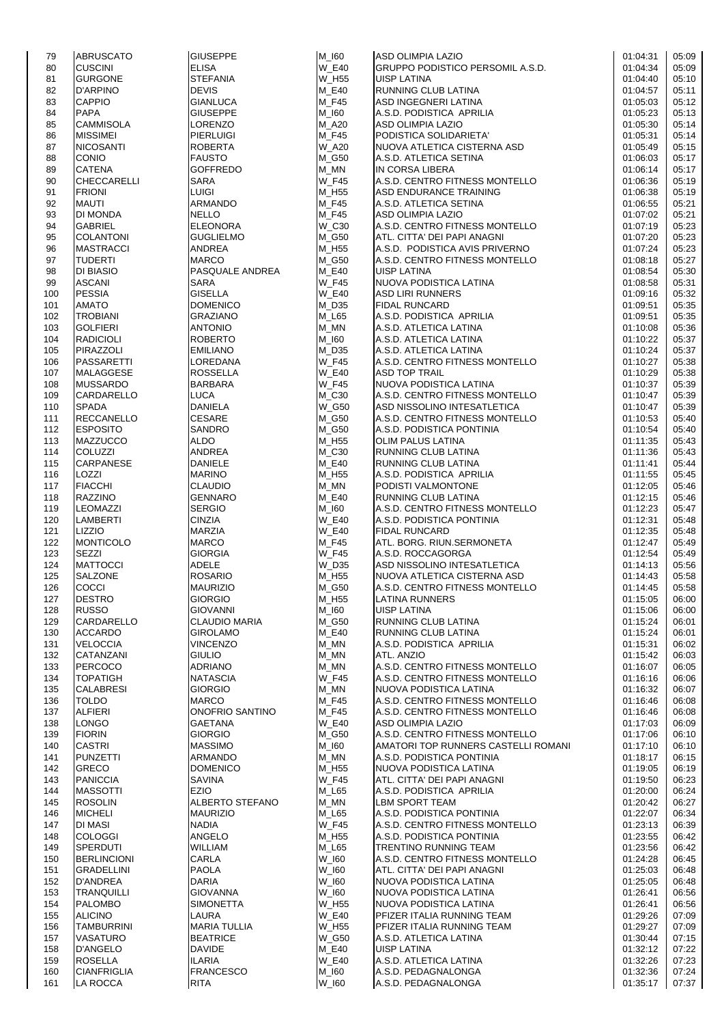| 79  | <b>ABRUSCATO</b>   | <b>GIUSEPPE</b>      | $M_l60$      | <b>ASD OLIMPIA LAZIO</b>            | 01:04:31 | 05:09 |
|-----|--------------------|----------------------|--------------|-------------------------------------|----------|-------|
|     |                    |                      |              |                                     |          |       |
| 80  | <b>CUSCINI</b>     | <b>ELISA</b>         | <b>W E40</b> | GRUPPO PODISTICO PERSOMIL A.S.D.    | 01:04:34 | 05:09 |
| 81  | <b>GURGONE</b>     | <b>STEFANIA</b>      | W_H55        | <b>UISP LATINA</b>                  | 01:04:40 | 05:10 |
| 82  | <b>D'ARPINO</b>    | <b>DEVIS</b>         | M E40        | RUNNING CLUB LATINA                 | 01:04:57 | 05:11 |
|     |                    |                      |              |                                     |          |       |
| 83  | <b>CAPPIO</b>      | <b>GIANLUCA</b>      | $M_F45$      | ASD INGEGNERI LATINA                | 01:05:03 | 05:12 |
| 84  | <b>PAPA</b>        | <b>GIUSEPPE</b>      | M 160        | A.S.D. PODISTICA APRILIA            | 01:05:23 | 05:13 |
| 85  | <b>CAMMISOLA</b>   | LORENZO              | M_A20        | ASD OLIMPIA LAZIO                   | 01:05:30 | 05:14 |
|     |                    |                      |              |                                     |          |       |
| 86  | <b>MISSIMEI</b>    | <b>PIERLUIGI</b>     | M_F45        | PODISTICA SOLIDARIETA'              | 01:05:31 | 05:14 |
| 87  | <b>NICOSANTI</b>   | <b>ROBERTA</b>       | <b>W_A20</b> | NUOVA ATLETICA CISTERNA ASD         | 01:05:49 | 05:15 |
| 88  | <b>CONIO</b>       | <b>FAUSTO</b>        | M_G50        | A.S.D. ATLETICA SETINA              | 01:06:03 | 05:17 |
|     |                    |                      |              |                                     |          |       |
| 89  | <b>CATENA</b>      | <b>GOFFREDO</b>      | M MN         | IN CORSA LIBERA                     | 01:06:14 | 05:17 |
| 90  | <b>CHECCARELLI</b> | <b>SARA</b>          | <b>W_F45</b> | A.S.D. CENTRO FITNESS MONTELLO      | 01:06:36 | 05:19 |
| 91  | <b>FRIONI</b>      | <b>LUIGI</b>         | M_H55        | ASD ENDURANCE TRAINING              | 01:06:38 | 05:19 |
|     |                    |                      |              |                                     |          |       |
| 92  | <b>MAUTI</b>       | <b>ARMANDO</b>       | $M_F45$      | A.S.D. ATLETICA SETINA              | 01:06:55 | 05:21 |
| 93  | DI MONDA           | <b>NELLO</b>         | $M_F45$      | ASD OLIMPIA LAZIO                   | 01:07:02 | 05:21 |
|     |                    |                      |              | A.S.D. CENTRO FITNESS MONTELLO      |          |       |
| 94  | <b>GABRIEL</b>     | <b>ELEONORA</b>      | W_C30        |                                     | 01:07:19 | 05:23 |
| 95  | <b>COLANTONI</b>   | <b>GUGLIELMO</b>     | M_G50        | ATL. CITTA' DEI PAPI ANAGNI         | 01:07:20 | 05:23 |
| 96  | <b>MASTRACCI</b>   | ANDREA               | M_H55        | A.S.D. PODISTICA AVIS PRIVERNO      | 01:07:24 | 05:23 |
|     |                    |                      |              |                                     |          |       |
| 97  | <b>TUDERTI</b>     | <b>MARCO</b>         | M_G50        | A.S.D. CENTRO FITNESS MONTELLO      | 01:08:18 | 05:27 |
| 98  | <b>DI BIASIO</b>   | PASQUALE ANDREA      | M_E40        | <b>UISP LATINA</b>                  | 01:08:54 | 05:30 |
| 99  | <b>ASCANI</b>      | SARA                 | <b>W_F45</b> | NUOVA PODISTICA LATINA              | 01:08:58 | 05:31 |
|     |                    |                      |              |                                     |          |       |
| 100 | <b>PESSIA</b>      | <b>GISELLA</b>       | <b>W E40</b> | <b>ASD LIRI RUNNERS</b>             | 01:09:16 | 05:32 |
| 101 | <b>AMATO</b>       | <b>DOMENICO</b>      | $M_D35$      | <b>FIDAL RUNCARD</b>                | 01:09:51 | 05:35 |
| 102 | <b>TROBIANI</b>    | <b>GRAZIANO</b>      | $M_L65$      | A.S.D. PODISTICA APRILIA            | 01:09:51 | 05:35 |
|     |                    |                      |              |                                     |          |       |
| 103 | <b>GOLFIERI</b>    | <b>ANTONIO</b>       | $M_MN$       | A.S.D. ATLETICA LATINA              | 01:10:08 | 05:36 |
| 104 | <b>RADICIOLI</b>   | <b>ROBERTO</b>       | $M_l$ 160    | A.S.D. ATLETICA LATINA              | 01:10:22 | 05:37 |
|     | PIRAZZOLI          |                      |              | A.S.D. ATLETICA LATINA              |          |       |
| 105 |                    | EMILIANO             | M D35        |                                     | 01:10:24 | 05:37 |
| 106 | <b>PASSARETTI</b>  | LOREDANA             | <b>W_F45</b> | A.S.D. CENTRO FITNESS MONTELLO      | 01:10:27 | 05:38 |
| 107 | MALAGGESE          | ROSSELLA             | <b>W_E40</b> | <b>ASD TOP TRAIL</b>                | 01:10:29 | 05:38 |
|     |                    |                      |              |                                     |          |       |
| 108 | <b>MUSSARDO</b>    | <b>BARBARA</b>       | <b>W_F45</b> | NUOVA PODISTICA LATINA              | 01:10:37 | 05:39 |
| 109 | <b>CARDARELLO</b>  | <b>LUCA</b>          | M_C30        | A.S.D. CENTRO FITNESS MONTELLO      | 01:10:47 | 05:39 |
| 110 | <b>SPADA</b>       | <b>DANIELA</b>       | W_G50        | ASD NISSOLINO INTESATLETICA         | 01:10:47 | 05:39 |
|     |                    |                      |              |                                     |          |       |
| 111 | <b>RECCANELLO</b>  | <b>CESARE</b>        | M_G50        | A.S.D. CENTRO FITNESS MONTELLO      | 01:10:53 | 05:40 |
| 112 | <b>ESPOSITO</b>    | SANDRO               | M_G50        | A.S.D. PODISTICA PONTINIA           | 01:10:54 | 05:40 |
| 113 | <b>MAZZUCCO</b>    | ALDO                 | M H55        | <b>OLIM PALUS LATINA</b>            | 01:11:35 | 05:43 |
|     |                    |                      |              |                                     |          |       |
| 114 | <b>COLUZZI</b>     | ANDREA               | $M_C30$      | RUNNING CLUB LATINA                 | 01:11:36 | 05:43 |
| 115 | <b>CARPANESE</b>   | <b>DANIELE</b>       | $M_E40$      | RUNNING CLUB LATINA                 | 01:11:41 | 05:44 |
| 116 | LOZZI              | MARINO               | $M_H$ 55     | A.S.D. PODISTICA APRILIA            | 01:11:55 | 05:45 |
|     |                    |                      |              |                                     |          |       |
| 117 | <b>FIACCHI</b>     | <b>CLAUDIO</b>       | M_MN         | PODISTI VALMONTONE                  | 01:12:05 | 05:46 |
| 118 | <b>RAZZINO</b>     | <b>GENNARO</b>       | M_E40        | RUNNING CLUB LATINA                 | 01:12:15 | 05:46 |
|     | <b>LEOMAZZI</b>    | <b>SERGIO</b>        | M_I60        | A.S.D. CENTRO FITNESS MONTELLO      | 01:12:23 | 05:47 |
| 119 |                    |                      |              |                                     |          |       |
| 120 | <b>LAMBERTI</b>    | <b>CINZIA</b>        | <b>W E40</b> | A.S.D. PODISTICA PONTINIA           | 01:12:31 | 05:48 |
| 121 | LIZZIO             | <b>MARZIA</b>        | <b>W_E40</b> | <b>FIDAL RUNCARD</b>                | 01:12:35 | 05:48 |
|     | <b>MONTICOLO</b>   | <b>MARCO</b>         | $M_F45$      | ATL. BORG. RIUN.SERMONETA           | 01:12:47 | 05:49 |
| 122 |                    |                      |              |                                     |          |       |
| 123 | <b>SEZZI</b>       | <b>GIORGIA</b>       | <b>W_F45</b> | A.S.D. ROCCAGORGA                   | 01:12:54 | 05:49 |
| 124 | <b>MATTOCCI</b>    | <b>ADELE</b>         | <b>W D35</b> | ASD NISSOLINO INTESATLETICA         | 01:14:13 | 05:56 |
|     |                    |                      |              |                                     |          |       |
| 125 | SALZONE            | <b>ROSARIO</b>       | M_H55        | NUOVA ATLETICA CISTERNA ASD         | 01:14:43 | 05:58 |
| 126 | <b>COCCI</b>       | <b>MAURIZIO</b>      | M_G50        | A.S.D. CENTRO FITNESS MONTELLO      | 01:14:45 | 05:58 |
| 127 | <b>DESTRO</b>      | GIORGIO              | M_H55        | LATINA RUNNERS                      | 01:15:05 | 06:00 |
|     |                    |                      |              |                                     |          |       |
| 128 | <b>RUSSO</b>       | <b>GIOVANNI</b>      | $M_l$ 160    | <b>UISP LATINA</b>                  | 01:15:06 | 06:00 |
| 129 | CARDARELLO         | <b>CLAUDIO MARIA</b> | M G50        | RUNNING CLUB LATINA                 | 01:15:24 | 06:01 |
|     | <b>ACCARDO</b>     | <b>GIROLAMO</b>      | M_E40        | RUNNING CLUB LATINA                 | 01:15:24 | 06:01 |
| 130 |                    |                      |              |                                     |          |       |
| 131 | <b>VELOCCIA</b>    | <b>VINCENZO</b>      | M MN         | A.S.D. PODISTICA APRILIA            | 01:15:31 | 06:02 |
| 132 | CATANZANI          | <b>GIULIO</b>        | M_MN         | ATL. ANZIO                          | 01:15:42 | 06:03 |
|     | <b>PERCOCO</b>     | <b>ADRIANO</b>       | M MN         | A.S.D. CENTRO FITNESS MONTELLO      | 01:16:07 |       |
| 133 |                    |                      |              |                                     |          | 06:05 |
| 134 | <b>TOPATIGH</b>    | <b>NATASCIA</b>      | W_F45        | A.S.D. CENTRO FITNESS MONTELLO      | 01:16:16 | 06:06 |
| 135 | <b>CALABRESI</b>   | <b>GIORGIO</b>       | M_MN         | NUOVA PODISTICA LATINA              | 01:16:32 | 06:07 |
|     |                    | <b>MARCO</b>         |              |                                     |          |       |
| 136 | <b>TOLDO</b>       |                      | M F45        | A.S.D. CENTRO FITNESS MONTELLO      | 01:16:46 | 06:08 |
| 137 | <b>ALFIERI</b>     | ONOFRIO SANTINO      | M_F45        | A.S.D. CENTRO FITNESS MONTELLO      | 01:16:46 | 06:08 |
| 138 | <b>LONGO</b>       | GAETANA              | $W_E40$      | ASD OLIMPIA LAZIO                   | 01:17:03 | 06:09 |
|     | <b>FIORIN</b>      | <b>GIORGIO</b>       | M_G50        | A.S.D. CENTRO FITNESS MONTELLO      | 01:17:06 |       |
| 139 |                    |                      |              |                                     |          | 06:10 |
| 140 | <b>CASTRI</b>      | <b>MASSIMO</b>       | M_I60        | AMATORI TOP RUNNERS CASTELLI ROMANI | 01:17:10 | 06:10 |
| 141 | <b>PUNZETTI</b>    | ARMANDO              | M MN         | A.S.D. PODISTICA PONTINIA           | 01:18:17 | 06:15 |
|     |                    |                      |              |                                     |          |       |
| 142 | <b>GRECO</b>       | <b>DOMENICO</b>      | M_H55        | NUOVA PODISTICA LATINA              | 01:19:05 | 06:19 |
| 143 | <b>PANICCIA</b>    | SAVINA               | <b>W_F45</b> | ATL. CITTA' DEI PAPI ANAGNI         | 01:19:50 | 06:23 |
| 144 | <b>MASSOTTI</b>    | <b>EZIO</b>          | $M_L65$      | A.S.D. PODISTICA APRILIA            | 01:20:00 | 06:24 |
|     |                    |                      |              |                                     |          |       |
| 145 | <b>ROSOLIN</b>     | ALBERTO STEFANO      | M_MN         | <b>LBM SPORT TEAM</b>               | 01:20:42 | 06:27 |
| 146 | <b>MICHELI</b>     | <b>MAURIZIO</b>      | M L65        | A.S.D. PODISTICA PONTINIA           | 01:22:07 | 06:34 |
| 147 | DI MASI            | <b>NADIA</b>         | <b>W_F45</b> | A.S.D. CENTRO FITNESS MONTELLO      | 01:23:13 | 06:39 |
|     |                    |                      |              |                                     |          |       |
| 148 | <b>COLOGGI</b>     | ANGELO               | M_H55        | A.S.D. PODISTICA PONTINIA           | 01:23:55 | 06:42 |
| 149 | <b>SPERDUTI</b>    | <b>WILLIAM</b>       | M_L65        | <b>TRENTINO RUNNING TEAM</b>        | 01:23:56 | 06:42 |
| 150 | <b>BERLINCIONI</b> | CARLA                | W_I60        | A.S.D. CENTRO FITNESS MONTELLO      | 01:24:28 | 06:45 |
|     |                    |                      |              |                                     |          |       |
| 151 | <b>GRADELLINI</b>  | <b>PAOLA</b>         | W_I60        | ATL. CITTA' DEI PAPI ANAGNI         | 01:25:03 | 06:48 |
| 152 | <b>D'ANDREA</b>    | DARIA                | W_I60        | NUOVA PODISTICA LATINA              | 01:25:05 | 06:48 |
| 153 | <b>TRANQUILLI</b>  | GIOVANNA             | W_I60        | NUOVA PODISTICA LATINA              | 01:26:41 | 06:56 |
|     |                    |                      |              |                                     |          |       |
| 154 | <b>PALOMBO</b>     | SIMONETTA            | W_H55        | NUOVA PODISTICA LATINA              | 01:26:41 | 06:56 |
| 155 | <b>ALICINO</b>     | LAURA                | <b>W_E40</b> | PFIZER ITALIA RUNNING TEAM          | 01:29:26 | 07:09 |
| 156 | TAMBURRINI         | <b>MARIA TULLIA</b>  | W_H55        | PFIZER ITALIA RUNNING TEAM          | 01:29:27 | 07:09 |
|     |                    |                      |              |                                     |          |       |
| 157 | <b>VASATURO</b>    | <b>BEATRICE</b>      | <b>W G50</b> | A.S.D. ATLETICA LATINA              | 01:30:44 | 07:15 |
| 158 | <b>D'ANGELO</b>    | <b>DAVIDE</b>        | M E40        | UISP LATINA                         | 01:32:12 | 07:22 |
| 159 | <b>ROSELLA</b>     | ILARIA               | <b>W_E40</b> | A.S.D. ATLETICA LATINA              | 01:32:26 | 07:23 |
|     |                    |                      |              |                                     |          |       |
| 160 | <b>CIANFRIGLIA</b> | <b>FRANCESCO</b>     | M_I60        | A.S.D. PEDAGNALONGA                 | 01:32:36 | 07:24 |
| 161 | <b>LA ROCCA</b>    | <b>RITA</b>          | W_I60        | A.S.D. PEDAGNALONGA                 | 01:35:17 | 07:37 |
|     |                    |                      |              |                                     |          |       |